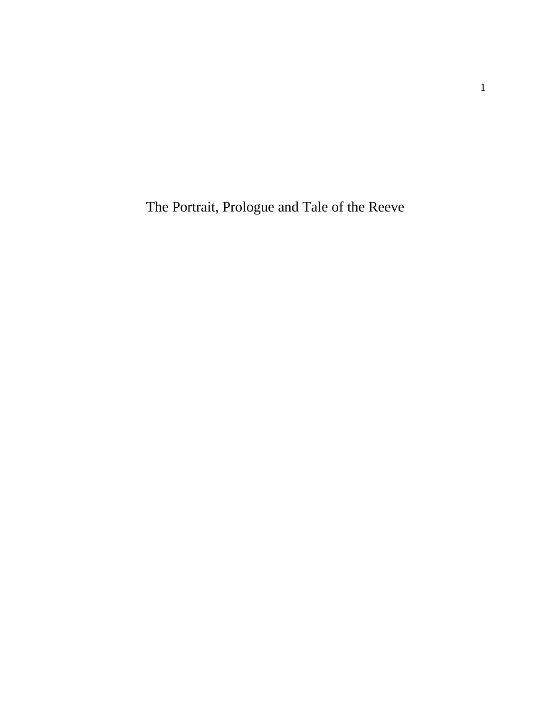The Portrait, Prologue and Tale of the Reeve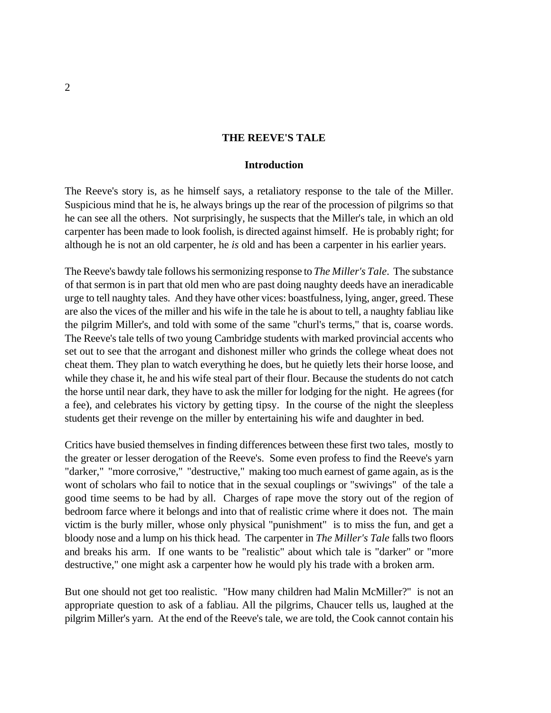#### **THE REEVE'S TALE**

#### **Introduction**

The Reeve's story is, as he himself says, a retaliatory response to the tale of the Miller. Suspicious mind that he is, he always brings up the rear of the procession of pilgrims so that he can see all the others. Not surprisingly, he suspects that the Miller's tale, in which an old carpenter has been made to look foolish, is directed against himself. He is probably right; for although he is not an old carpenter, he *is* old and has been a carpenter in his earlier years.

The Reeve's bawdy tale follows his sermonizing response to *The Miller's Tale*. The substance of that sermon is in part that old men who are past doing naughty deeds have an ineradicable urge to tell naughty tales. And they have other vices: boastfulness, lying, anger, greed. These are also the vices of the miller and his wife in the tale he is about to tell, a naughty fabliau like the pilgrim Miller's, and told with some of the same "churl's terms," that is, coarse words. The Reeve's tale tells of two young Cambridge students with marked provincial accents who set out to see that the arrogant and dishonest miller who grinds the college wheat does not cheat them. They plan to watch everything he does, but he quietly lets their horse loose, and while they chase it, he and his wife steal part of their flour. Because the students do not catch the horse until near dark, they have to ask the miller for lodging for the night. He agrees (for a fee), and celebrates his victory by getting tipsy. In the course of the night the sleepless students get their revenge on the miller by entertaining his wife and daughter in bed.

Critics have busied themselves in finding differences between these first two tales, mostly to the greater or lesser derogation of the Reeve's. Some even profess to find the Reeve's yarn "darker," "more corrosive," "destructive," making too much earnest of game again, as is the wont of scholars who fail to notice that in the sexual couplings or "swivings" of the tale a good time seems to be had by all. Charges of rape move the story out of the region of bedroom farce where it belongs and into that of realistic crime where it does not. The main victim is the burly miller, whose only physical "punishment" is to miss the fun, and get a bloody nose and a lump on his thick head. The carpenter in *The Miller's Tale* falls two floors and breaks his arm. If one wants to be "realistic" about which tale is "darker" or "more destructive," one might ask a carpenter how he would ply his trade with a broken arm.

But one should not get too realistic. "How many children had Malin McMiller?" is not an appropriate question to ask of a fabliau. All the pilgrims, Chaucer tells us, laughed at the pilgrim Miller's yarn. At the end of the Reeve's tale, we are told, the Cook cannot contain his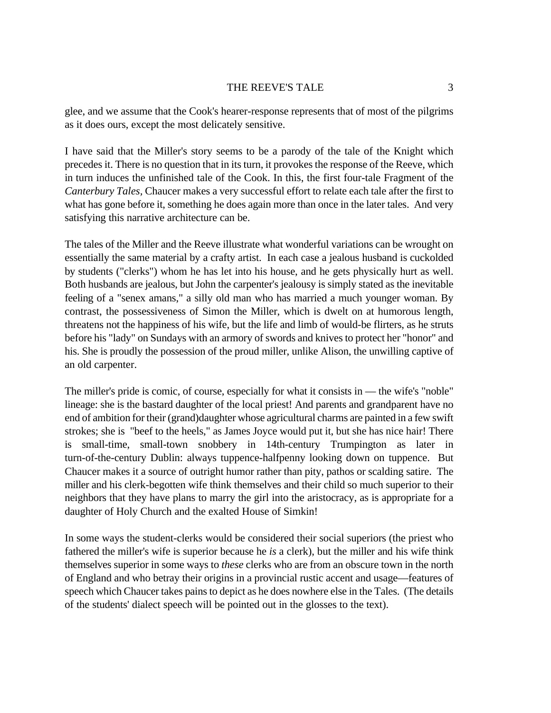#### THE REEVE'S TALE 3

glee, and we assume that the Cook's hearer-response represents that of most of the pilgrims as it does ours, except the most delicately sensitive.

I have said that the Miller's story seems to be a parody of the tale of the Knight which precedes it. There is no question that in its turn, it provokes the response of the Reeve, which in turn induces the unfinished tale of the Cook. In this, the first four-tale Fragment of the *Canterbury Tales,* Chaucer makes a very successful effort to relate each tale after the first to what has gone before it, something he does again more than once in the later tales. And very satisfying this narrative architecture can be.

The tales of the Miller and the Reeve illustrate what wonderful variations can be wrought on essentially the same material by a crafty artist. In each case a jealous husband is cuckolded by students ("clerks") whom he has let into his house, and he gets physically hurt as well. Both husbands are jealous, but John the carpenter's jealousy is simply stated as the inevitable feeling of a "senex amans," a silly old man who has married a much younger woman. By contrast, the possessiveness of Simon the Miller, which is dwelt on at humorous length, threatens not the happiness of his wife, but the life and limb of would-be flirters, as he struts before his "lady" on Sundays with an armory of swords and knives to protect her "honor" and his. She is proudly the possession of the proud miller, unlike Alison, the unwilling captive of an old carpenter.

The miller's pride is comic, of course, especially for what it consists in — the wife's "noble" lineage: she is the bastard daughter of the local priest! And parents and grandparent have no end of ambition for their (grand)daughter whose agricultural charms are painted in a few swift strokes; she is "beef to the heels," as James Joyce would put it, but she has nice hair! There is small-time, small-town snobbery in 14th-century Trumpington as later in turn-of-the-century Dublin: always tuppence-halfpenny looking down on tuppence. But Chaucer makes it a source of outright humor rather than pity, pathos or scalding satire. The miller and his clerk-begotten wife think themselves and their child so much superior to their neighbors that they have plans to marry the girl into the aristocracy, as is appropriate for a daughter of Holy Church and the exalted House of Simkin!

In some ways the student-clerks would be considered their social superiors (the priest who fathered the miller's wife is superior because he *is* a clerk), but the miller and his wife think themselves superior in some ways to *these* clerks who are from an obscure town in the north of England and who betray their origins in a provincial rustic accent and usage—features of speech which Chaucer takes pains to depict as he does nowhere else in the Tales. (The details of the students' dialect speech will be pointed out in the glosses to the text).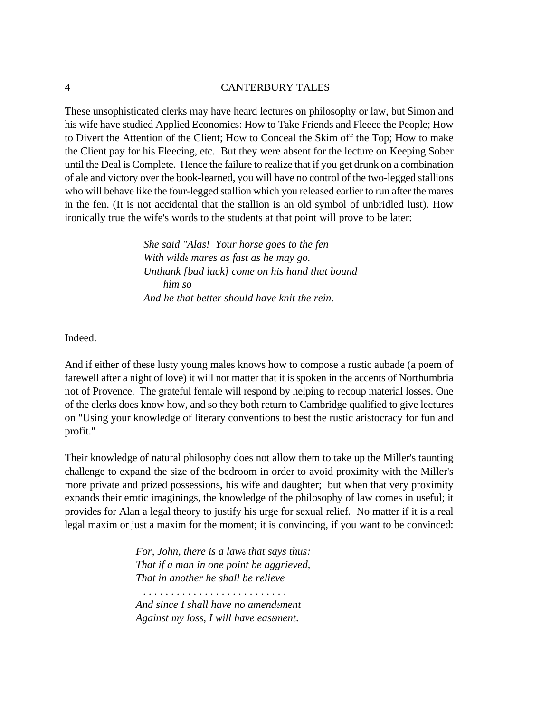These unsophisticated clerks may have heard lectures on philosophy or law, but Simon and his wife have studied Applied Economics: How to Take Friends and Fleece the People; How to Divert the Attention of the Client; How to Conceal the Skim off the Top; How to make the Client pay for his Fleecing, etc. But they were absent for the lecture on Keeping Sober until the Deal is Complete. Hence the failure to realize that if you get drunk on a combination of ale and victory over the book-learned, you will have no control of the two-legged stallions who will behave like the four-legged stallion which you released earlier to run after the mares in the fen. (It is not accidental that the stallion is an old symbol of unbridled lust). How ironically true the wife's words to the students at that point will prove to be later:

> *She said "Alas! Your horse goes to the fen With wildè mares as fast as he may go. Unthank [bad luck] come on his hand that bound him so And he that better should have knit the rein.*

Indeed.

And if either of these lusty young males knows how to compose a rustic aubade (a poem of farewell after a night of love) it will not matter that it is spoken in the accents of Northumbria not of Provence. The grateful female will respond by helping to recoup material losses. One of the clerks does know how, and so they both return to Cambridge qualified to give lectures on "Using your knowledge of literary conventions to best the rustic aristocracy for fun and profit."

Their knowledge of natural philosophy does not allow them to take up the Miller's taunting challenge to expand the size of the bedroom in order to avoid proximity with the Miller's more private and prized possessions, his wife and daughter; but when that very proximity expands their erotic imaginings, the knowledge of the philosophy of law comes in useful; it provides for Alan a legal theory to justify his urge for sexual relief. No matter if it is a real legal maxim or just a maxim for the moment; it is convincing, if you want to be convinced:

> *For, John, there is a lawè that says thus: That if a man in one point be aggrieved, That in another he shall be relieve*

 *. . . . . . . . . . . . . . . . . . . . . . . . . . And since I shall have no amendèment Against my loss, I will have easèment*.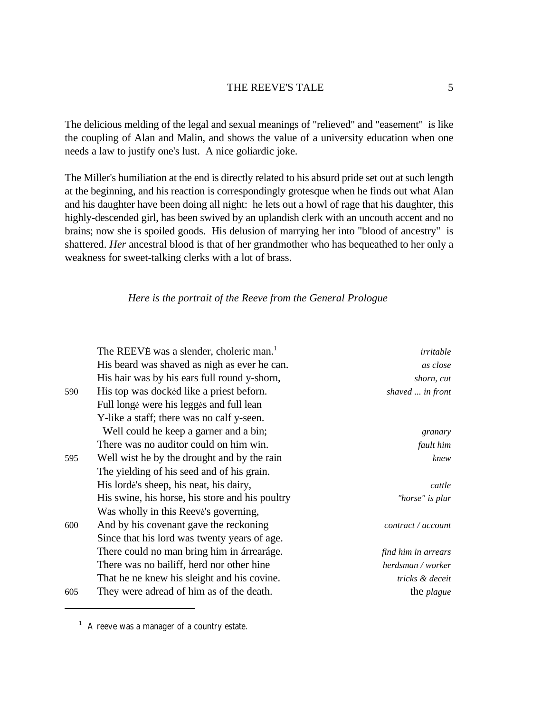The delicious melding of the legal and sexual meanings of "relieved" and "easement" is like the coupling of Alan and Malin, and shows the value of a university education when one needs a law to justify one's lust. A nice goliardic joke.

The Miller's humiliation at the end is directly related to his absurd pride set out at such length at the beginning, and his reaction is correspondingly grotesque when he finds out what Alan and his daughter have been doing all night: he lets out a howl of rage that his daughter, this highly-descended girl, has been swived by an uplandish clerk with an uncouth accent and no brains; now she is spoiled goods. His delusion of marrying her into "blood of ancestry" is shattered. *Her* ancestral blood is that of her grandmother who has bequeathed to her only a weakness for sweet-talking clerks with a lot of brass.

### *Here is the portrait of the Reeve from the General Prologue*

|     | The REEVE was a slender, choleric man. <sup>1</sup> | irritable           |
|-----|-----------------------------------------------------|---------------------|
|     | His beard was shaved as nigh as ever he can.        | as close            |
|     | His hair was by his ears full round y-shorn,        | shorn, cut          |
| 590 | His top was docked like a priest beform.            | shaved  in front    |
|     | Full longe were his legges and full lean            |                     |
|     | Y-like a staff; there was no calf y-seen.           |                     |
|     | Well could he keep a garner and a bin;              | granary             |
|     | There was no auditor could on him win.              | fault him           |
| 595 | Well wist he by the drought and by the rain         | knew                |
|     | The yielding of his seed and of his grain.          |                     |
|     | His lorde's sheep, his neat, his dairy,             | cattle              |
|     | His swine, his horse, his store and his poultry     | "horse" is plur     |
|     | Was wholly in this Reeve's governing,               |                     |
| 600 | And by his covenant gave the reckoning              | contract / account  |
|     | Since that his lord was twenty years of age.        |                     |
|     | There could no man bring him in arrearage.          | find him in arrears |
|     | There was no bailiff, herd nor other hine           | herdsman / worker   |
|     | That he ne knew his sleight and his covine.         | tricks & deceit     |
| 605 | They were adread of him as of the death.            | the <i>plague</i>   |

<sup>&</sup>lt;sup>1</sup> A reeve was a manager of a country estate.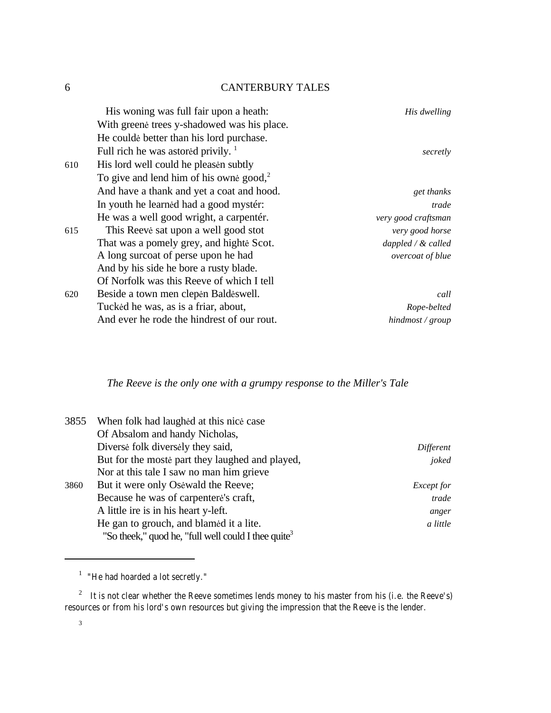|     | His woning was full fair upon a heath:              | His dwelling                 |
|-----|-----------------------------------------------------|------------------------------|
|     | With greene trees y-shadowed was his place.         |                              |
|     | He coulde better than his lord purchase.            |                              |
|     | Full rich he was astored privily. $\frac{1}{1}$     | secretly                     |
| 610 | His lord well could be pleasen subtly               |                              |
|     | To give and lend him of his owne good, <sup>2</sup> |                              |
|     | And have a thank and yet a coat and hood.           | get thanks                   |
|     | In youth he learned had a good myster:              | trade                        |
|     | He was a well good wright, a carpenter.             | very good craftsman          |
| 615 | This Reeve sat upon a well good stot                | very good horse              |
|     | That was a pomely grey, and highte Scot.            | $dappled/dx$ called          |
|     | A long surcoat of perse upon he had                 | overcoat of blue             |
|     | And by his side he bore a rusty blade.              |                              |
|     | Of Norfolk was this Reeve of which I tell           |                              |
| 620 | Beside a town men clepen Baldeswell.                | call                         |
|     | Tucked he was, as is a friar, about,                | Rope-belted                  |
|     | And ever he rode the hindrest of our rout.          | $h$ <i>indmost</i> / $group$ |

# *The Reeve is the only one with a grumpy response to the Miller's Tale*

| 3855 | When folk had laughed at this nice case             |                   |
|------|-----------------------------------------------------|-------------------|
|      | Of Absalom and handy Nicholas,                      |                   |
|      | Diverse folk diversely they said,                   | Different         |
|      | But for the moste part they laughed and played,     | joked             |
|      | Nor at this tale I saw no man him grieve            |                   |
| 3860 | But it were only Osewald the Reeve;                 | <i>Except for</i> |
|      | Because he was of carpentere's craft,               | trade             |
|      | A little ire is in his heart y-left.                | anger             |
|      | He gan to grouch, and blamed it a lite.             | a little          |
|      | "So theek," quod he, "full well could I thee quite" |                   |

<sup>&</sup>lt;sup>1</sup> "He had hoarded a lot secretly."

3

<sup>&</sup>lt;sup>2</sup> It is not clear whether the Reeve sometimes lends money to his master from his (i.e. the Reeve's) resources or from his lord's own resources but giving the impression that the Reeve is the lender.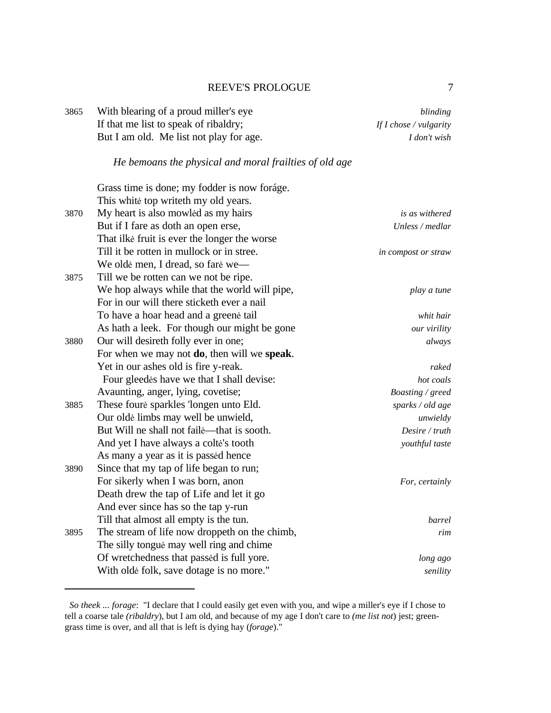# REEVE'S PROLOGUE 7

| 3865 | With blearing of a proud miller's eye                  | blinding               |
|------|--------------------------------------------------------|------------------------|
|      | If that me list to speak of ribaldry;                  | If I chose / vulgarity |
|      | But I am old. Me list not play for age.                | I don't wish           |
|      | He bemoans the physical and moral frailties of old age |                        |
|      | Grass time is done; my fodder is now foráge.           |                        |
|      | This white top writeth my old years.                   |                        |
| 3870 | My heart is also mowled as my hairs                    | is as withered         |
|      | But if I fare as doth an open erse,                    | Unless / medlar        |
|      | That ilke fruit is ever the longer the worse           |                        |
|      | Till it be rotten in mullock or in stree.              | in compost or straw    |
|      | We olde men, I dread, so fare we-                      |                        |
| 3875 | Till we be rotten can we not be ripe.                  |                        |
|      | We hop always while that the world will pipe,          | play a tune            |
|      | For in our will there sticketh ever a nail             |                        |
|      | To have a hoar head and a greene tail                  | whit hair              |
|      | As hath a leek. For though our might be gone           | our virility           |
| 3880 | Our will desireth folly ever in one;                   | always                 |
|      | For when we may not do, then will we speak.            |                        |
|      | Yet in our ashes old is fire y-reak.                   | raked                  |
|      | Four gleedes have we that I shall devise:              | hot coals              |
|      | Avaunting, anger, lying, covetise;                     | Boasting / greed       |
| 3885 | These foure sparkles 'longen unto Eld.                 | sparks / old age       |
|      | Our olde limbs may well be unwield,                    | unwieldy               |
|      | But Will ne shall not faile—that is sooth.             | Desire / truth         |
|      | And yet I have always a colte's tooth                  | youthful taste         |
|      | As many a year as it is passed hence                   |                        |
| 3890 | Since that my tap of life began to run;                |                        |
|      | For sikerly when I was born, anon                      | For, certainly         |
|      | Death drew the tap of Life and let it go               |                        |
|      | And ever since has so the tap y-run                    |                        |
|      | Till that almost all empty is the tun.                 | barrel                 |
| 3895 | The stream of life now droppeth on the chimb,          | rim                    |
|      | The silly tongue may well ring and chime               |                        |
|      | Of wretchedness that passed is full yore.              | long ago               |
|      | With olde folk, save dotage is no more."               | senility               |

*So theek ... forage*: "I declare that I could easily get even with you, and wipe a miller's eye if I chose to tell a coarse tale *(ribaldry*), but I am old, and because of my age I don't care to *(me list not*) jest; greengrass time is over, and all that is left is dying hay (*forage*)."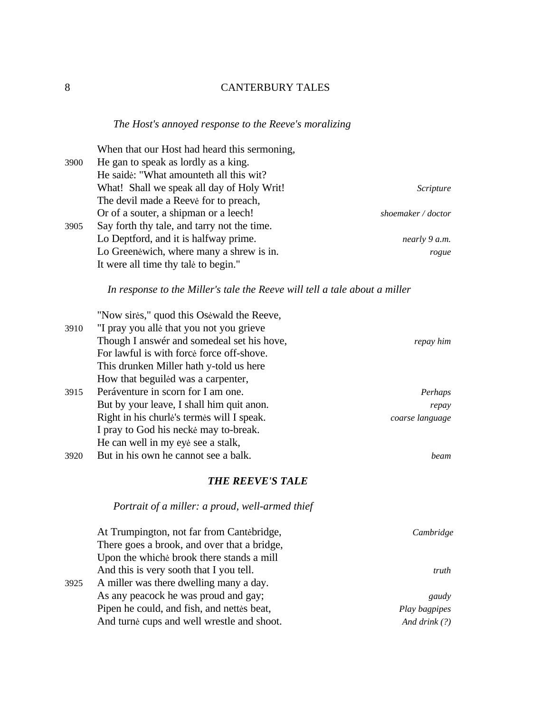# *The Host's annoyed response to the Reeve's moralizing*

| 3900 | When that our Host had heard this sermoning,<br>He gan to speak as lordly as a king.<br>He saide: "What amounteth all this wit? |                    |
|------|---------------------------------------------------------------------------------------------------------------------------------|--------------------|
|      | What! Shall we speak all day of Holy Writ!<br>The devil made a Reeve for to preach,                                             | Scripture          |
|      | Or of a souter, a shipman or a leech!                                                                                           | shoemaker / doctor |
| 3905 | Say forth thy tale, and tarry not the time.                                                                                     |                    |
|      | Lo Deptford, and it is halfway prime.                                                                                           | nearly 9 a.m.      |
|      | Lo Greenewich, where many a shrew is in.                                                                                        | rogue              |
|      | It were all time thy tale to begin."                                                                                            |                    |
|      | In response to the Miller's tale the Reeve will tell a tale about a miller                                                      |                    |
|      | "Now sires," quod this Osewald the Reeve,                                                                                       |                    |
| 3910 | "I pray you alle that you not you grieve                                                                                        |                    |
|      | Though I answér and somedeal set his hove,                                                                                      | repay him          |
|      | For lawful is with force force off-shove.                                                                                       |                    |
|      | This drunken Miller hath y-told us here                                                                                         |                    |
|      | How that beguiled was a carpenter,                                                                                              |                    |
| 3915 | Peráventure in scorn for I am one.                                                                                              | Perhaps            |
|      | But by your leave, I shall him quit anon.                                                                                       | repay              |
|      | Right in his churle's termes will I speak.                                                                                      | coarse language    |
|      | I pray to God his neckė may to-break.                                                                                           |                    |
|      | He can well in my eye see a stalk,                                                                                              |                    |
| 3920 | But in his own he cannot see a balk.                                                                                            | beam               |
|      | <b>THE REEVE'S TALE</b>                                                                                                         |                    |
|      | Portrait of a miller: a proud, well-armed thief                                                                                 |                    |

|      | At Trumpington, not far from Cantebridge,   | Cambridge       |
|------|---------------------------------------------|-----------------|
|      | There goes a brook, and over that a bridge, |                 |
|      | Upon the whiche brook there stands a mill   |                 |
|      | And this is very sooth that I you tell.     | truth           |
| 3925 | A miller was there dwelling many a day.     |                 |
|      | As any peacock he was proud and gay;        | gaudy           |
|      | Pipen he could, and fish, and nettes beat,  | Play bagpipes   |
|      | And turne cups and well wrestle and shoot.  | And drink $(?)$ |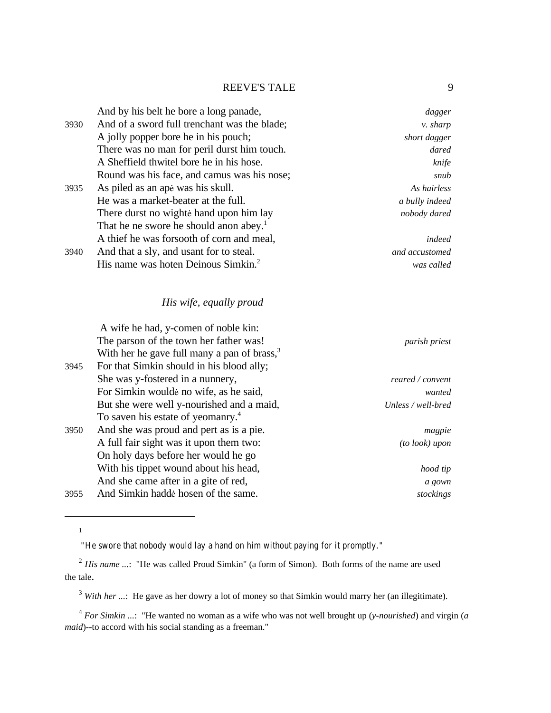| dagger          | And by his belt he bore a long panade,             |      |
|-----------------|----------------------------------------------------|------|
| <i>v.</i> sharp | And of a sword full trenchant was the blade;       | 3930 |
| short dagger    | A jolly popper bore he in his pouch;               |      |
| dared           | There was no man for peril durst him touch.        |      |
| knife           | A Sheffield thwitel bore he in his hose.           |      |
| snub            | Round was his face, and camus was his nose;        |      |
| As hairless     | As piled as an ape was his skull.                  | 3935 |
| a bully indeed  | He was a market-beater at the full.                |      |
| nobody dared    | There durst no wighte hand upon him lay            |      |
|                 | That he ne swore he should anon abey. <sup>1</sup> |      |
| indeed          | A thief he was forsooth of corn and meal,          |      |
| and accustomed  | And that a sly, and usant for to steal.            | 3940 |
| was called      | His name was hoten Deinous Simkin. <sup>2</sup>    |      |

# *His wife, equally proud*

|                      | A wife he had, y-comen of noble kin:            |      |
|----------------------|-------------------------------------------------|------|
| <i>parish priest</i> | The parson of the town her father was!          |      |
|                      | With her he gave full many a pan of brass, $33$ |      |
|                      | For that Simkin should in his blood ally;       | 3945 |
| reared / convent     | She was y-fostered in a nunnery,                |      |
| wanted               | For Simkin woulde no wife, as he said,          |      |
| Unless / well-bred   | But she were well y-nourished and a maid,       |      |
|                      | To saven his estate of yeomanry. <sup>4</sup>   |      |
| magpie               | And she was proud and pert as is a pie.         | 3950 |
| (to look) upon       | A full fair sight was it upon them two:         |      |
|                      | On holy days before her would he go             |      |
| hood tip             | With his tippet wound about his head,           |      |
| a gown               | And she came after in a gite of red,            |      |
| stockings            | And Simkin hadde hosen of the same.             | 3955 |
|                      |                                                 |      |

1

 <sup>&</sup>quot;He swore that nobody would lay a hand on him without paying for it promptly."

<sup>&</sup>lt;sup>2</sup> *His name* ...: "He was called Proud Simkin" (a form of Simon). Both forms of the name are used the tale.

<sup>&</sup>lt;sup>3</sup> With her ...: He gave as her dowry a lot of money so that Simkin would marry her (an illegitimate).

<sup>4</sup> *For Simkin ...*: "He wanted no woman as a wife who was not well brought up (*y-nourished*) and virgin (*a maid*)--to accord with his social standing as a freeman."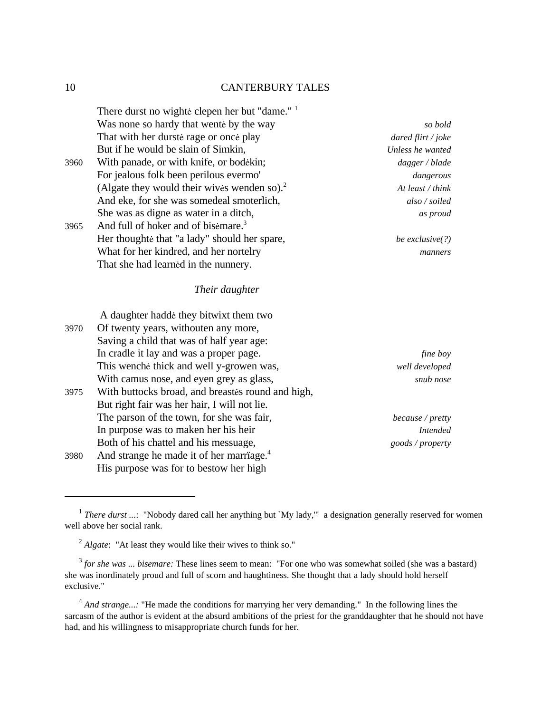|      | There durst no wighte clepen her but "dame." 1       |                    |
|------|------------------------------------------------------|--------------------|
|      | Was none so hardy that wente by the way              | so bold            |
|      | That with her durste rage or once play               | dared flirt / joke |
|      | But if he would be slain of Simkin,                  | Unless he wanted   |
| 3960 | With panade, or with knife, or bodekin;              | dagger / blade     |
|      | For jealous folk been perilous evermo'               | dangerous          |
|      | (Algate they would their wives wenden so). $2$       | At least / think   |
|      | And eke, for she was somedeal smoterlich,            | also / soiled      |
|      | She was as digne as water in a ditch,                | as proud           |
| 3965 | And full of hoker and of bisemare. <sup>3</sup>      |                    |
|      | Her thoughte that "a lady" should her spare,         | be exclusive $(?)$ |
|      | What for her kindred, and her nortelry               | manners            |
|      | That she had learned in the nunnery.                 |                    |
|      | Their daughter                                       |                    |
|      | A daughter hadde they bitwixt them two               |                    |
| 3970 | Of twenty years, withouten any more,                 |                    |
|      | Saving a child that was of half year age:            |                    |
|      | In cradle it lay and was a proper page.              | fine boy           |
|      | This wenche thick and well y-growen was,             | well developed     |
|      | With camus nose, and eyen grey as glass,             | snub nose          |
| 3975 | With buttocks broad, and breastes round and high,    |                    |
|      | But right fair was her hair, I will not lie.         |                    |
|      | The parson of the town, for she was fair,            | because / pretty   |
|      | In purpose was to maken her his heir                 | <b>Intended</b>    |
|      | Both of his chattel and his messuage,                | goods / property   |
| 3980 | And strange he made it of her marriage. <sup>4</sup> |                    |
|      | His purpose was for to bestow her high               |                    |

<sup>&</sup>lt;sup>1</sup> There durst ...: "Nobody dared call her anything but `My lady," a designation generally reserved for women well above her social rank.

<sup>&</sup>lt;sup>2</sup> Algate: "At least they would like their wives to think so."

<sup>&</sup>lt;sup>3</sup> for she was ... bisemare: These lines seem to mean: "For one who was somewhat soiled (she was a bastard) she was inordinately proud and full of scorn and haughtiness. She thought that a lady should hold herself exclusive."

<sup>&</sup>lt;sup>4</sup> And strange...: "He made the conditions for marrying her very demanding." In the following lines the sarcasm of the author is evident at the absurd ambitions of the priest for the granddaughter that he should not have had, and his willingness to misappropriate church funds for her.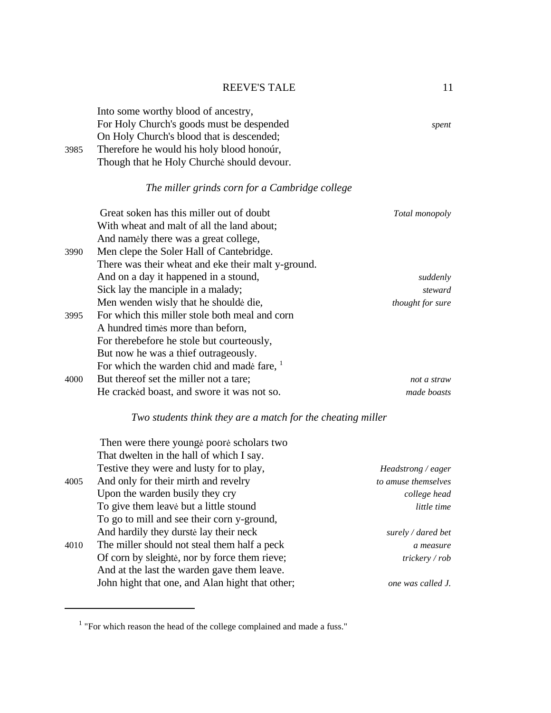Into some worthy blood of ancestry, For Holy Church's goods must be despended *spent*  On Holy Church's blood that is descended; 3985 Therefore he would his holy blood honoúr, Though that he Holy Churchè should devour.

# *The miller grinds corn for a Cambridge college*

|      | Great soken has this miller out of doubt               | Total monopoly          |
|------|--------------------------------------------------------|-------------------------|
|      | With wheat and malt of all the land about;             |                         |
|      | And namely there was a great college,                  |                         |
| 3990 | Men clepe the Soler Hall of Cantebridge.               |                         |
|      | There was their wheat and eke their malt y-ground.     |                         |
|      | And on a day it happened in a stound,                  | suddenly                |
|      | Sick lay the manciple in a malady;                     | steward                 |
|      | Men wenden wisly that he shoulde die,                  | <i>thought for sure</i> |
| 3995 | For which this miller stole both meal and corn         |                         |
|      | A hundred times more than beform,                      |                         |
|      | For therebefore he stole but courteously,              |                         |
|      | But now he was a thief outrageously.                   |                         |
|      | For which the warden chid and made fare, $\frac{1}{1}$ |                         |
| 4000 | But thereof set the miller not a tare;                 | not a straw             |
|      | He cracked boast, and swore it was not so.             | made boasts             |

# *Two students think they are a match for the cheating miller*

|      | Then were there younge poore scholars two       |                           |
|------|-------------------------------------------------|---------------------------|
|      | That dwelten in the hall of which I say.        |                           |
|      | Testive they were and lusty for to play,        | Headstrong / eager        |
| 4005 | And only for their mirth and revelry            | to amuse themselves       |
|      | Upon the warden busily they cry                 | college head              |
|      | To give them leave but a little stound          | little time               |
|      | To go to mill and see their corn y-ground,      |                           |
|      | And hardily they durstell ay their neck         | surely $\angle$ dared bet |
| 4010 | The miller should not steal them half a peck    | a measure                 |
|      | Of corn by sleighte, nor by force them rieve;   | trickery / rob            |
|      | And at the last the warden gave them leave.     |                           |
|      | John hight that one, and Alan hight that other; | one was called J.         |

 $1$  "For which reason the head of the college complained and made a fuss."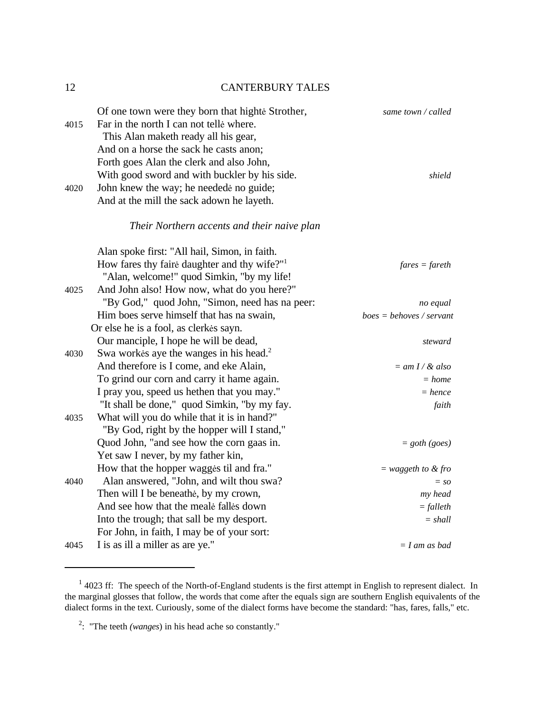| 4015 | Of one town were they born that highte Strother,<br>Far in the north I can not telle where.<br>This Alan maketh ready all his gear,<br>And on a horse the sack he casts anon;<br>Forth goes Alan the clerk and also John, | same town / called         |
|------|---------------------------------------------------------------------------------------------------------------------------------------------------------------------------------------------------------------------------|----------------------------|
| 4020 | With good sword and with buckler by his side.<br>John knew the way; he needede no guide;<br>And at the mill the sack adown he layeth.                                                                                     | shield                     |
|      | Their Northern accents and their naive plan                                                                                                                                                                               |                            |
|      | Alan spoke first: "All hail, Simon, in faith.                                                                                                                                                                             |                            |
|      | How fares thy faire daughter and thy wife?"                                                                                                                                                                               | $fares = \text{f} are th$  |
|      | "Alan, welcome!" quod Simkin, "by my life!                                                                                                                                                                                |                            |
| 4025 | And John also! How now, what do you here?"                                                                                                                                                                                |                            |
|      | "By God," quod John, "Simon, need has na peer:                                                                                                                                                                            | no equal                   |
|      | Him boes serve himself that has na swain,                                                                                                                                                                                 | $boes = behoves / servant$ |
|      | Or else he is a fool, as clerkes sayn.                                                                                                                                                                                    |                            |
|      | Our manciple, I hope he will be dead,                                                                                                                                                                                     | steward                    |
| 4030 | Swa workes aye the wanges in his head. <sup>2</sup>                                                                                                                                                                       |                            |
|      | And therefore is I come, and eke Alain,                                                                                                                                                                                   | $=$ am I / & also          |
|      | To grind our corn and carry it hame again.                                                                                                                                                                                | $= home$                   |
|      | I pray you, speed us hethen that you may."                                                                                                                                                                                | $= hence$                  |
|      | "It shall be done," quod Simkin, "by my fay.                                                                                                                                                                              | faith                      |
| 4035 | What will you do while that it is in hand?"                                                                                                                                                                               |                            |
|      | "By God, right by the hopper will I stand,"                                                                                                                                                                               |                            |
|      | Quod John, "and see how the corn gaas in.                                                                                                                                                                                 | $=$ goth (goes)            |
|      | Yet saw I never, by my father kin,                                                                                                                                                                                        |                            |
|      | How that the hopper wagges til and fra."                                                                                                                                                                                  | $=$ waggeth to & fro       |
| 4040 | Alan answered, "John, and wilt thou swa?                                                                                                                                                                                  | $=$ so                     |
|      | Then will I be beneathe, by my crown,                                                                                                                                                                                     | my head                    |
|      | And see how that the meale falles down                                                                                                                                                                                    | $=$ falleth                |
|      | Into the trough; that sall be my desport.                                                                                                                                                                                 | $= shall$                  |
|      | For John, in faith, I may be of your sort:                                                                                                                                                                                |                            |
| 4045 | I is as ill a miller as are ye."                                                                                                                                                                                          | $= I$ am as bad            |

 $1$  4023 ff: The speech of the North-of-England students is the first attempt in English to represent dialect. In the marginal glosses that follow, the words that come after the equals sign are southern English equivalents of the dialect forms in the text. Curiously, some of the dialect forms have become the standard: "has, fares, falls," etc.

<sup>2</sup> : "The teeth *(wanges*) in his head ache so constantly."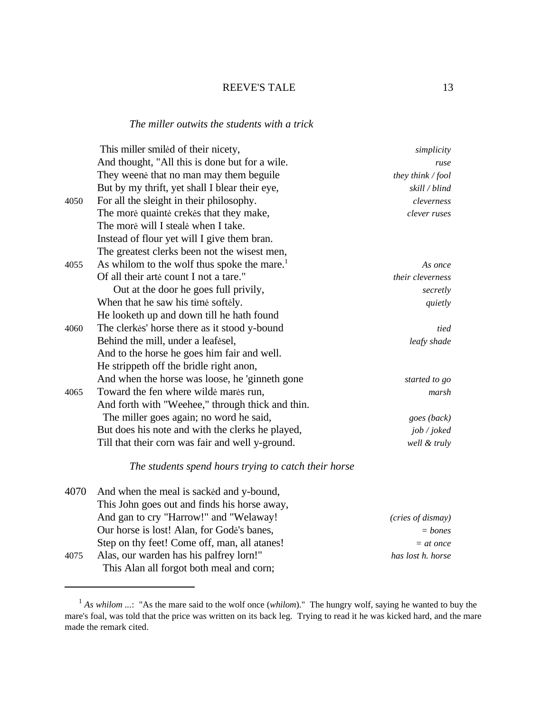#### *The miller outwits the students with a trick*

|      | This miller smiled of their nicety,                     | simplicity          |
|------|---------------------------------------------------------|---------------------|
|      | And thought, "All this is done but for a wile.          | ruse                |
|      | They weene that no man may them beguile                 | they think $/$ fool |
|      | But by my thrift, yet shall I blear their eye,          | skill / blind       |
| 4050 | For all the sleight in their philosophy.                | cleverness          |
|      | The more quainte crekes that they make,                 | clever ruses        |
|      | The more will I steale when I take.                     |                     |
|      | Instead of flour yet will I give them bran.             |                     |
|      | The greatest clerks been not the wisest men,            |                     |
| 4055 | As whilom to the wolf thus spoke the mare. <sup>1</sup> | As once             |
|      | Of all their arte count I not a tare."                  | their cleverness    |
|      | Out at the door he goes full privily,                   | secretly            |
|      | When that he saw his time softely.                      | quietly             |
|      | He looketh up and down till he hath found               |                     |
| 4060 | The clerkes' horse there as it stood y-bound            | tied                |
|      | Behind the mill, under a leafesel,                      | leafy shade         |
|      | And to the horse he goes him fair and well.             |                     |
|      | He strippeth off the bridle right anon,                 |                     |
|      | And when the horse was loose, he 'ginneth gone          | started to go       |
| 4065 | Toward the fen where wilde mares run,                   | marsh               |
|      | And forth with "Weehee," through thick and thin.        |                     |
|      | The miller goes again; no word he said,                 | goes (back)         |
|      | But does his note and with the clerks he played,        | job / joked         |
|      | Till that their corn was fair and well y-ground.        | well & truly        |
|      |                                                         |                     |

### *The students spend hours trying to catch their horse*

|      | 4070 And when the meal is sacked and y-bound, |                   |
|------|-----------------------------------------------|-------------------|
|      | This John goes out and finds his horse away,  |                   |
|      | And gan to cry "Harrow!" and "Welaway!        | (cries of dismay) |
|      | Our horse is lost! Alan, for Gode's banes,    | $=$ bones         |
|      | Step on thy feet! Come off, man, all atanes!  | $=$ at once       |
| 4075 | Alas, our warden has his palfrey lorn!"       | has lost h. horse |
|      | This Alan all forgot both meal and corn;      |                   |

<sup>&</sup>lt;sup>1</sup> As whilom ...: "As the mare said to the wolf once (*whilom*)." The hungry wolf, saying he wanted to buy the mare's foal, was told that the price was written on its back leg. Trying to read it he was kicked hard, and the mare made the remark cited.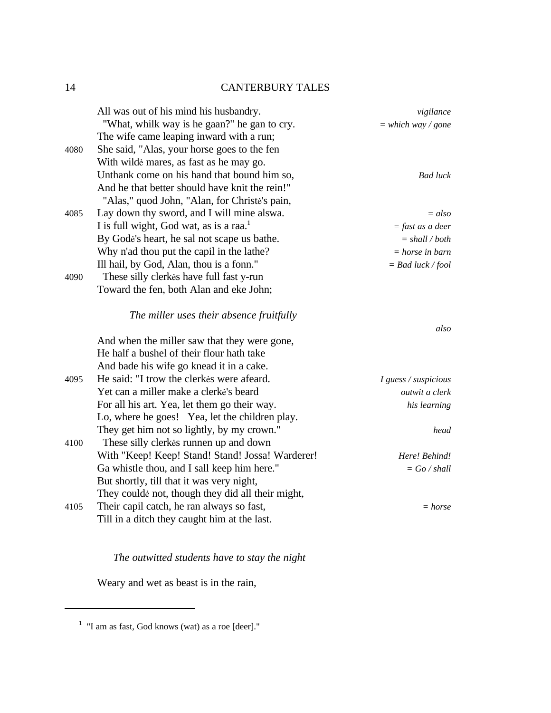|      | All was out of his mind his husbandry.              | vigilance            |
|------|-----------------------------------------------------|----------------------|
|      | "What, whilk way is he gaan?" he gan to cry.        | $=$ which way / gone |
|      | The wife came leaping inward with a run;            |                      |
| 4080 | She said, "Alas, your horse goes to the fen         |                      |
|      | With wilde mares, as fast as he may go.             |                      |
|      | Unthank come on his hand that bound him so,         | <b>Bad</b> luck      |
|      | And he that better should have knit the rein!"      |                      |
|      | "Alas," quod John, "Alan, for Christe's pain,       |                      |
| 4085 | Lay down thy sword, and I will mine alswa.          | $= also$             |
|      | I is full wight, God wat, as is a raa. <sup>1</sup> | $=$ fast as a deer   |
|      | By Godė's heart, he sal not scape us bathe.         | $=$ shall / both     |
|      | Why n'ad thou put the capil in the lathe?           | $=$ horse in barn    |
|      | Ill hail, by God, Alan, thou is a fonn."            | $=$ Bad luck / fool  |
| 4090 | These silly clerkes have full fast y-run            |                      |
|      | Toward the fen, both Alan and eke John;             |                      |
|      | The miller uses their absence fruitfully            |                      |
|      |                                                     | also                 |
|      | And when the miller saw that they were gone,        |                      |
|      | He half a bushel of their flour hath take           |                      |
|      | And bade his wife go knead it in a cake.            |                      |
| 4095 | He said: "I trow the clerkes were afeard.           | I guess / suspicious |
|      | Yet can a miller make a clerke's beard              | outwit a clerk       |
|      | For all his art. Yea, let them go their way.        | his learning         |
|      | Lo, where he goes! Yea, let the children play.      |                      |
|      | They get him not so lightly, by my crown."          | head                 |
| 4100 | These silly clerkes runnen up and down              |                      |
|      | With "Keep! Keep! Stand! Stand! Jossa! Warderer!    | Here! Behind!        |
|      | Ga whistle thou, and I sall keep him here."         | $=$ Go / shall       |
|      | But shortly, till that it was very night,           |                      |
|      | They coulde not, though they did all their might,   |                      |
| 4105 | Their capil catch, he ran always so fast,           | $= horse$            |
|      | Till in a ditch they caught him at the last.        |                      |

# *The outwitted students have to stay the night*

Weary and wet as beast is in the rain,

 $<sup>1</sup>$  "I am as fast, God knows (wat) as a roe [deer]."</sup>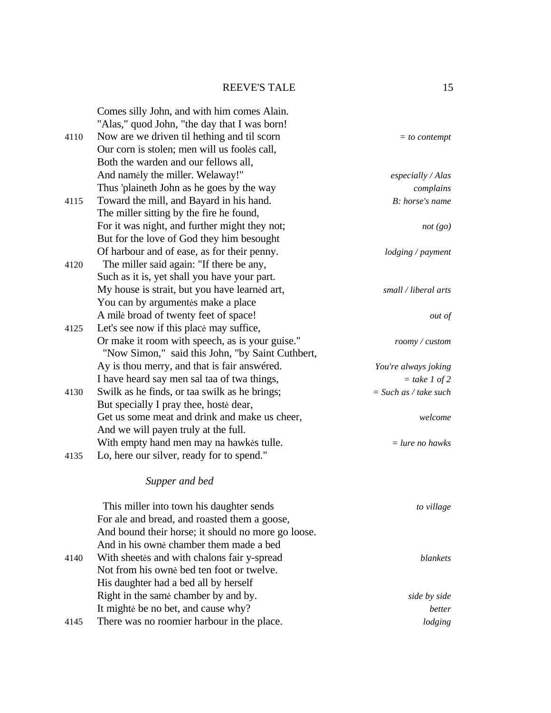|      | Comes silly John, and with him comes Alain.        |                         |
|------|----------------------------------------------------|-------------------------|
|      | "Alas," quod John, "the day that I was born!       |                         |
| 4110 | Now are we driven til hething and til scorn        | $=$ to contempt         |
|      | Our corn is stolen; men will us fooles call,       |                         |
|      | Both the warden and our fellows all,               |                         |
|      | And namely the miller. Welaway!"                   | especially / Alas       |
|      | Thus 'plaineth John as he goes by the way          | complains               |
| 4115 | Toward the mill, and Bayard in his hand.           | B: horse's name         |
|      | The miller sitting by the fire he found,           |                         |
|      | For it was night, and further might they not;      | not (go)                |
|      | But for the love of God they him besought          |                         |
|      | Of harbour and of ease, as for their penny.        | lodging / payment       |
| 4120 | The miller said again: "If there be any,           |                         |
|      | Such as it is, yet shall you have your part.       |                         |
|      | My house is strait, but you have learned art,      | small / liberal arts    |
|      | You can by argumentes make a place                 |                         |
|      | A mile broad of twenty feet of space!              | out of                  |
| 4125 | Let's see now if this place may suffice,           |                         |
|      | Or make it room with speech, as is your guise."    | roomy / custom          |
|      | "Now Simon," said this John, "by Saint Cuthbert,   |                         |
|      | Ay is thou merry, and that is fair answered.       | You're always joking    |
|      | I have heard say men sal taa of twa things,        | $=$ take 1 of 2         |
| 4130 | Swilk as he finds, or taa swilk as he brings;      | $=$ Such as / take such |
|      | But specially I pray thee, hoste dear,             |                         |
|      | Get us some meat and drink and make us cheer,      | welcome                 |
|      | And we will payen truly at the full.               |                         |
|      | With empty hand men may na hawkes tulle.           | $=$ lure no hawks       |
| 4135 | Lo, here our silver, ready for to spend."          |                         |
|      | Supper and bed                                     |                         |
|      | This miller into town his daughter sends           | to village              |
|      | For ale and bread, and roasted them a goose,       |                         |
|      | And bound their horse; it should no more go loose. |                         |
|      | And in his owne chamber them made a bed            |                         |
| 4140 | With sheetes and with chalons fair y-spread        | <b>blankets</b>         |
|      | Not from his owne bed ten foot or twelve.          |                         |
|      | His daughter had a bed all by herself              |                         |
|      | Right in the same chamber by and by.               | side by side            |
|      | It mighte be no bet, and cause why?                | better                  |
| 4145 | There was no roomier harbour in the place.         | lodging                 |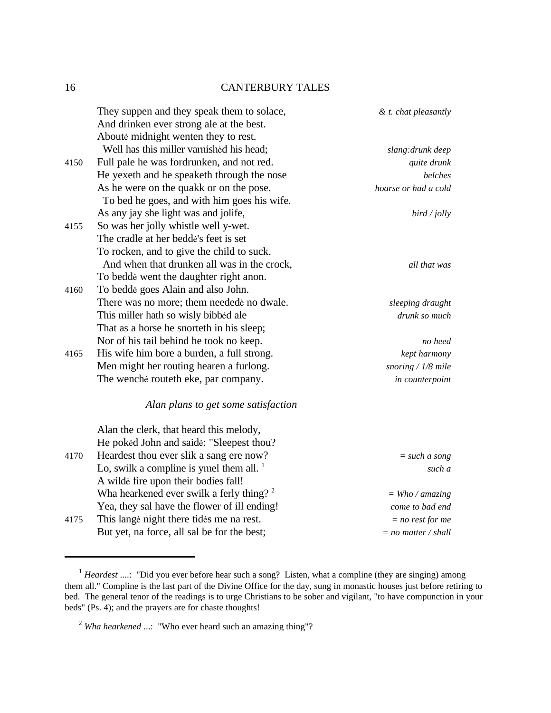|      | They suppen and they speak them to solace,           | & t. chat pleasantly  |
|------|------------------------------------------------------|-----------------------|
|      | And drinken ever strong ale at the best.             |                       |
|      | Aboute midnight wenten they to rest.                 |                       |
|      | Well has this miller varnished his head;             | slang: drunk deep     |
| 4150 | Full pale he was fordrunken, and not red.            | quite drunk           |
|      | He yexeth and he speaketh through the nose           | belches               |
|      | As he were on the quakk or on the pose.              | hoarse or had a cold  |
|      | To bed he goes, and with him goes his wife.          |                       |
|      | As any jay she light was and jolife,                 | bird / jolly          |
| 4155 | So was her jolly whistle well y-wet.                 |                       |
|      | The cradle at her bedde's feet is set                |                       |
|      | To rocken, and to give the child to suck.            |                       |
|      | And when that drunken all was in the crock,          | all that was          |
|      | To bedde went the daughter right anon.               |                       |
| 4160 | To bedde goes Alain and also John.                   |                       |
|      | There was no more; them neededė no dwale.            | sleeping draught      |
|      | This miller hath so wisly bibbed ale                 | drunk so much         |
|      | That as a horse he snorteth in his sleep;            |                       |
|      | Nor of his tail behind he took no keep.              | no heed               |
| 4165 | His wife him bore a burden, a full strong.           | kept harmony          |
|      | Men might her routing hearen a furlong.              | snoring $/$ 1/8 mile  |
|      | The wenche routeth eke, par company.                 | in counterpoint       |
|      | Alan plans to get some satisfaction                  |                       |
|      | Alan the clerk, that heard this melody,              |                       |
|      | He poked John and saide: "Sleepest thou?             |                       |
| 4170 | Heardest thou ever slik a sang ere now?              | $= such a song$       |
|      | Lo, swilk a compline is ymel them all. $1$           | such a                |
|      | A wilde fire upon their bodies fall!                 |                       |
|      | Wha hearkened ever swilk a ferly thing? <sup>2</sup> | $=$ Who / amazing     |
|      | Yea, they sal have the flower of ill ending!         | come to bad end       |
| 4175 | This lange night there tides me na rest.             | $= no rest for me$    |
|      | But yet, na force, all sal be for the best;          | $= no$ matter / shall |

<sup>&</sup>lt;sup>1</sup> *Heardest* ....: "Did you ever before hear such a song? Listen, what a compline (they are singing) among them all." Compline is the last part of the Divine Office for the day, sung in monastic houses just before retiring to bed. The general tenor of the readings is to urge Christians to be sober and vigilant, "to have compunction in your beds" (Ps. 4); and the prayers are for chaste thoughts!

<sup>2</sup> *Wha hearkened* ...: "Who ever heard such an amazing thing"?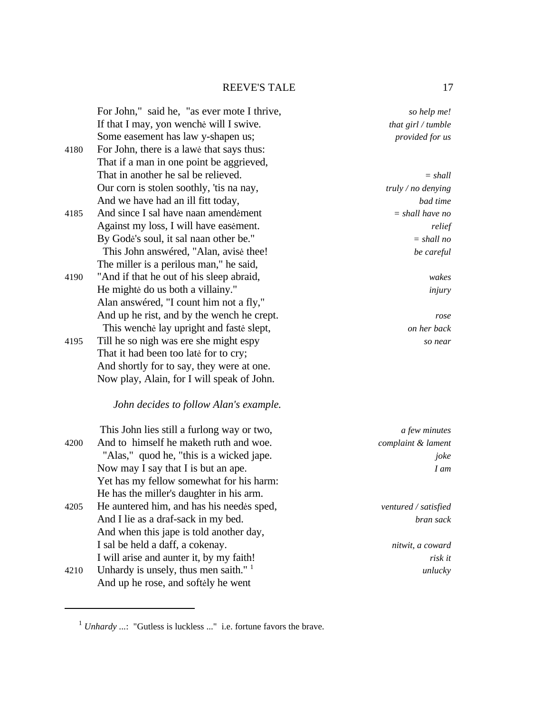For John," said he, "as ever mote I thrive, *so help me!* If that I may, yon wenchè will I swive. *that girl / tumble*  Some easement has law y-shapen us; *provided for us*  4180 For John, there is a lawè that says thus: That if a man in one point be aggrieved, That in another he sal be relieved.  $= shall$ Our corn is stolen soothly, 'tis na nay, *truly / no denying*  And we have had an ill fitt today, *bad time*  4185 And since I sal have naan amendèment *= shall have no*  Against my loss, I will have easèment. *relief*  By Godè's soul, it sal naan other be." *= shall no*  This John answéred, "Alan, avisè thee! *be careful*  The miller is a perilous man," he said, 4190 "And if that he out of his sleep abraid, *wakes*  He mightè do us both a villainy." *injury*  Alan answéred, "I count him not a fly," And up he rist, and by the wench he crept. *rose*  This wenchè lay upright and fastè slept, *on her back*  4195 Till he so nigh was ere she might espy *so near*  That it had been too latè for to cry; And shortly for to say, they were at one. Now play, Alain, for I will speak of John. *John decides to follow Alan's example.*  This John lies still a furlong way or two, *a few minutes*  4200 And to himself he maketh ruth and woe. *complaint & lament*  "Alas," quod he, "this is a wicked jape. *joke*  Now may I say that I is but an ape. *I am* Yet has my fellow somewhat for his harm: He has the miller's daughter in his arm. 4205 He auntered him, and has his needès sped, *ventured / satisfied*  And I lie as a draf-sack in my bed. *bran sack*  And when this jape is told another day,

4210 Unhardy is unsely, thus men saith."  $1$ And up he rose, and softèly he went

I sal be held a daff, a cokenay. *nitwit, a coward*  I will arise and aunter it, by my faith! *risk it unlucky* 

 $1$  *Unhardy* ...: "Gutless is luckless ..." i.e. fortune favors the brave.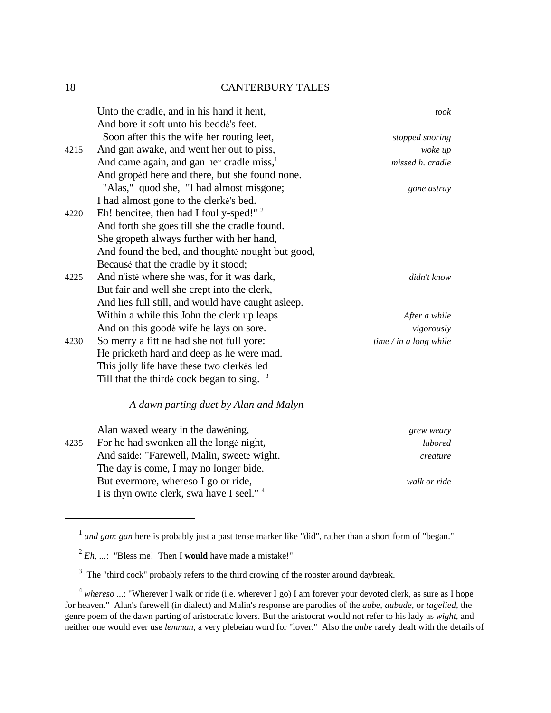|      | Unto the cradle, and in his hand it hent,             | took                   |
|------|-------------------------------------------------------|------------------------|
|      | And bore it soft unto his bedde's feet.               |                        |
|      | Soon after this the wife her routing leet,            | stopped snoring        |
| 4215 | And gan awake, and went her out to piss,              | woke up                |
|      | And came again, and gan her cradle miss, <sup>1</sup> | missed h. cradle       |
|      | And groped here and there, but she found none.        |                        |
|      | "Alas," quod she, "I had almost misgone;              | gone astray            |
|      | I had almost gone to the clerke's bed.                |                        |
| 4220 | Eh! bencitee, then had I foul y-sped!" <sup>2</sup>   |                        |
|      | And forth she goes till she the cradle found.         |                        |
|      | She gropeth always further with her hand,             |                        |
|      | And found the bed, and thoughte nought but good,      |                        |
|      | Because that the cradle by it stood;                  |                        |
| 4225 | And n'iste where she was, for it was dark,            | didn't know            |
|      | But fair and well she crept into the clerk,           |                        |
|      | And lies full still, and would have caught as leep.   |                        |
|      | Within a while this John the clerk up leaps           | After a while          |
|      | And on this goode wife he lays on sore.               | vigorously             |
| 4230 | So merry a fitt ne had she not full yore:             | time / in a long while |
|      | He pricketh hard and deep as he were mad.             |                        |
|      | This jolly life have these two clerkes led            |                        |
|      | Till that the thirde cock began to sing. $3$          |                        |
|      | A dawn parting duet by Alan and Malyn                 |                        |
|      | $\Lambda$ lan waxad waamin tha dawaning               |                        |

|      | Alah waxed weary in the dawening,                    | grew weary   |
|------|------------------------------------------------------|--------------|
| 4235 | For he had swonken all the longe night,              | labored      |
|      | And saide: "Farewell, Malin, sweete wight.           | creature     |
|      | The day is come, I may no longer bide.               |              |
|      | But evermore, where so I go or ride,                 | walk or ride |
|      | I is thyn owne clerk, swa have I seel." <sup>4</sup> |              |

<sup>&</sup>lt;sup>1</sup> and gan: gan here is probably just a past tense marker like "did", rather than a short form of "began."

<sup>2</sup> *Eh, ...*: "Bless me! Then I **would** have made a mistake!"

 $3$  The "third cock" probably refers to the third crowing of the rooster around daybreak.

<sup>4</sup> *whereso* ...: "Wherever I walk or ride (i.e. wherever I go) I am forever your devoted clerk, as sure as I hope for heaven." Alan's farewell (in dialect) and Malin's response are parodies of the *aube, aubade*, or *tagelied,* the genre poem of the dawn parting of aristocratic lovers. But the aristocrat would not refer to his lady as *wight*, and neither one would ever use *lemman*, a very plebeian word for "lover." Also the *aube* rarely dealt with the details of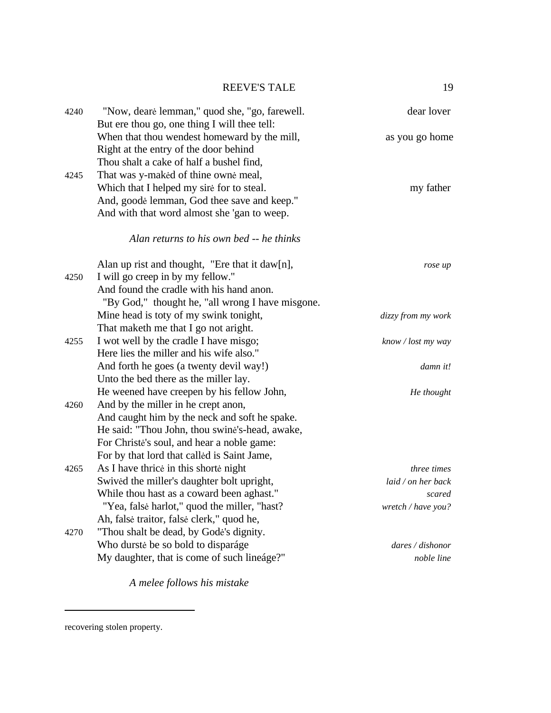| 4240 | "Now, deare lemman," quod she, "go, farewell.                                                                                                                                                                                      | dear lover                                                               |
|------|------------------------------------------------------------------------------------------------------------------------------------------------------------------------------------------------------------------------------------|--------------------------------------------------------------------------|
|      | But ere thou go, one thing I will thee tell:<br>When that thou wendest homeward by the mill,<br>Right at the entry of the door behind                                                                                              | as you go home                                                           |
| 4245 | Thou shalt a cake of half a bushel find,<br>That was y-maked of thine owne meal,<br>Which that I helped my sire for to steal.<br>And, goode lemman, God thee save and keep."<br>And with that word almost she 'gan to weep.        | my father                                                                |
|      | Alan returns to his own bed -- he thinks                                                                                                                                                                                           |                                                                          |
| 4250 | Alan up rist and thought, "Ere that it daw[n],<br>I will go creep in by my fellow."<br>And found the cradle with his hand anon.<br>"By God," thought he, "all wrong I have misgone.                                                | rose up                                                                  |
|      | Mine head is toty of my swink tonight,<br>That maketh me that I go not aright.                                                                                                                                                     | dizzy from my work                                                       |
| 4255 | I wot well by the cradle I have misgo;<br>Here lies the miller and his wife also."                                                                                                                                                 | know / lost my way                                                       |
|      | And forth he goes (a twenty devil way!)<br>Unto the bed there as the miller lay.                                                                                                                                                   | damn it!                                                                 |
| 4260 | He weened have creepen by his fellow John,<br>And by the miller in he crept anon,<br>And caught him by the neck and soft he spake.<br>He said: "Thou John, thou swine's-head, awake,<br>For Christe's soul, and hear a noble game: | He thought                                                               |
| 4265 | For by that lord that called is Saint Jame,<br>As I have thrice in this shorte night<br>Swived the miller's daughter bolt upright,<br>While thou hast as a coward been aghast."<br>"Yea, false harlot," quod the miller, "hast?"   | <i>three times</i><br>laid / on her back<br>scared<br>wretch / have you? |
| 4270 | Ah, falsė traitor, falsė clerk," quod he,<br>"Thou shalt be dead, by Godė's dignity.<br>Who durste be so bold to disparáge<br>My daughter, that is come of such lineáge?"                                                          | dares / dishonor<br>noble line                                           |

*A melee follows his mistake*

recovering stolen property.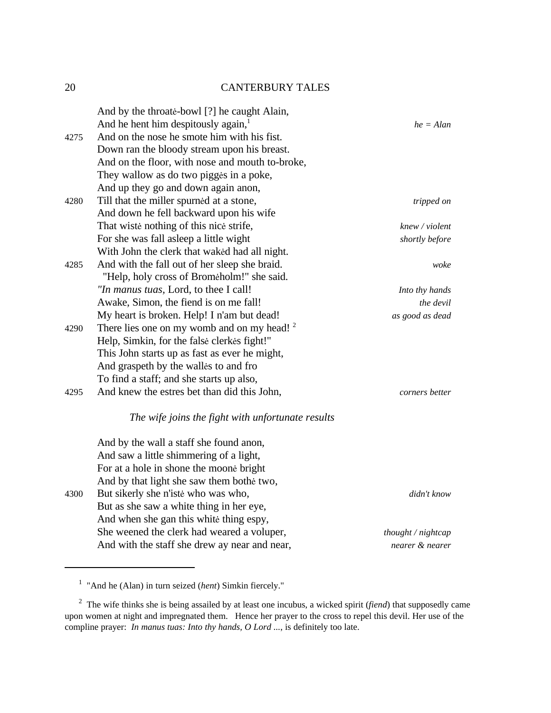|      | And by the throate-bowl [?] he caught Alain,           |                      |
|------|--------------------------------------------------------|----------------------|
|      | And he hent him despitously again, <sup>1</sup>        | $he = Alan$          |
| 4275 | And on the nose he smote him with his fist.            |                      |
|      | Down ran the bloody stream upon his breast.            |                      |
|      | And on the floor, with nose and mouth to-broke,        |                      |
|      | They wallow as do two pigges in a poke,                |                      |
|      | And up they go and down again anon,                    |                      |
| 4280 | Till that the miller spurned at a stone,               | tripped on           |
|      | And down he fell backward upon his wife                |                      |
|      | That wiste nothing of this nice strife,                | knew / violent       |
|      | For she was fall asleep a little wight                 | shortly before       |
|      | With John the clerk that waked had all night.          |                      |
| 4285 | And with the fall out of her sleep she braid.          | woke                 |
|      | "Help, holy cross of Bromeholm!" she said.             |                      |
|      | "In manus tuas, Lord, to thee I call!                  | Into thy hands       |
|      | Awake, Simon, the fiend is on me fall!                 | the devil            |
|      | My heart is broken. Help! I n'am but dead!             | as good as dead      |
| 4290 | There lies one on my womb and on my head! <sup>2</sup> |                      |
|      | Help, Simkin, for the false clerkes fight!"            |                      |
|      | This John starts up as fast as ever he might,          |                      |
|      | And graspeth by the walles to and fro                  |                      |
|      | To find a staff; and she starts up also,               |                      |
| 4295 | And knew the estres bet than did this John,            | corners better       |
|      | The wife joins the fight with unfortunate results      |                      |
|      | And by the wall a staff she found anon,                |                      |
|      | And saw a little shimmering of a light,                |                      |
|      | For at a hole in shone the moone bright                |                      |
|      | And by that light she saw them bothe two,              |                      |
| 4300 | But sikerly she n'iste who was who,                    | didn't know          |
|      | But as she saw a white thing in her eye,               |                      |
|      | And when she gan this white thing espy,                |                      |
|      | She weened the clerk had weared a voluper,             | thought $/$ nightcap |
|      | And with the staff she drew ay near and near,          | nearer & nearer      |

<sup>&</sup>lt;sup>1</sup> "And he (Alan) in turn seized (*hent*) Simkin fiercely."

<sup>2</sup> The wife thinks she is being assailed by at least one incubus, a wicked spirit (*fiend*) that supposedly came upon women at night and impregnated them. Hence her prayer to the cross to repel this devil. Her use of the compline prayer: *In manus tuas: Into thy hands, O Lord* ..., is definitely too late.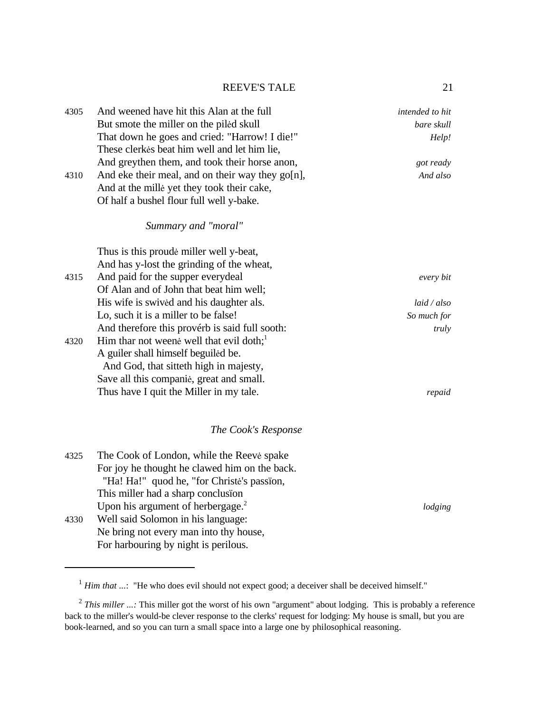| 4305 | And weened have hit this Alan at the full        | intended to hit |
|------|--------------------------------------------------|-----------------|
|      | But smote the miller on the piled skull          | bare skull      |
|      | That down he goes and cried: "Harrow! I die!"    | Help!           |
|      | These clerkes beat him well and let him lie,     |                 |
|      | And greythen them, and took their horse anon,    | got ready       |
| 4310 | And eke their meal, and on their way they go[n], | And also        |
|      | And at the mille yet they took their cake,       |                 |
|      | Of half a bushel flour full well y-bake.         |                 |
|      | Summary and "moral"                              |                 |
|      | Thus is this proude miller well y-beat,          |                 |
|      | And has y-lost the grinding of the wheat,        |                 |
| 4315 | And paid for the supper everydeal                | every bit       |
|      | Of Alan and of John that beat him well;          |                 |
|      | His wife is swived and his daughter als.         | laid / also     |
|      | Lo, such it is a miller to be false!             | So much for     |
|      | And therefore this provérb is said full sooth:   | truly           |
| 4320 | Him thar not weene well that evil doth;          |                 |
|      | A guiler shall himself beguiled be.              |                 |
|      | And God, that sitteth high in majesty,           |                 |
|      | Save all this companie, great and small.         |                 |
|      | Thus have I quit the Miller in my tale.          | repaid          |
|      |                                                  |                 |
|      |                                                  |                 |

# *The Cook's Response*

| 4325 | The Cook of London, while the Reeve spake     |         |
|------|-----------------------------------------------|---------|
|      | For joy he thought he clawed him on the back. |         |
|      | "Ha! Ha!" quod he, "for Christe's passion,    |         |
|      | This miller had a sharp conclusion            |         |
|      | Upon his argument of herbergage. <sup>2</sup> | lodging |
| 4330 | Well said Solomon in his language:            |         |
|      | Ne bring not every man into thy house,        |         |
|      | For harbouring by night is perilous.          |         |

<sup>&</sup>lt;sup>1</sup> *Him that* ...: "He who does evil should not expect good; a deceiver shall be deceived himself."

<sup>&</sup>lt;sup>2</sup> This miller ...: This miller got the worst of his own "argument" about lodging. This is probably a reference back to the miller's would-be clever response to the clerks' request for lodging: My house is small, but you are book-learned, and so you can turn a small space into a large one by philosophical reasoning.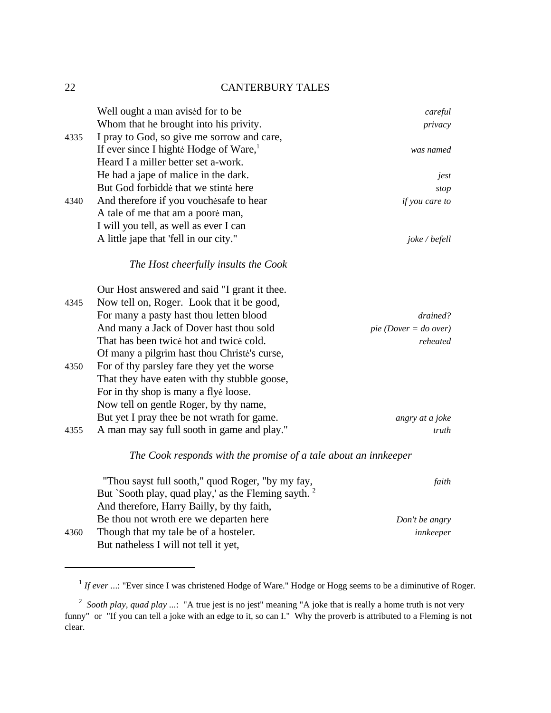|      | Well ought a man avised for to be                  | careful                 |
|------|----------------------------------------------------|-------------------------|
|      | Whom that he brought into his privity.             | privacy                 |
| 4335 | I pray to God, so give me sorrow and care,         |                         |
|      | If ever since I highte Hodge of Ware, <sup>1</sup> | was named               |
|      | Heard I a miller better set a-work.                |                         |
|      | He had a jape of malice in the dark.               | jest                    |
|      | But God forbidde that we stinte here               | stop                    |
| 4340 | And therefore if you vouches afe to hear           | if you care to          |
|      | A tale of me that am a poore man,                  |                         |
|      | I will you tell, as well as ever I can             |                         |
|      | A little jape that 'fell in our city."             | joke / befell           |
|      | The Host cheerfully insults the Cook               |                         |
|      | Our Host answered and said "I grant it thee.       |                         |
| 4345 | Now tell on, Roger. Look that it be good,          |                         |
|      | For many a pasty hast thou letten blood            | drained?                |
|      | And many a Jack of Dover hast thou sold            | $pie$ (Dover = do over) |
|      | That has been twice hot and twice cold.            | reheated                |
|      | Of many a pilgrim hast thou Christe's curse,       |                         |
| 4350 | For of thy parsley fare they yet the worse         |                         |
|      | That they have eaten with thy stubble goose,       |                         |
|      | For in thy shop is many a flye loose.              |                         |
|      | Now tell on gentle Roger, by thy name,             |                         |
|      | But yet I pray thee be not wrath for game.         | angry at a joke         |
| 4355 | A man may say full sooth in game and play."        | truth                   |

### *The Cook responds with the promise of a tale about an innkeeper*

| "Thou sayst full sooth," quod Roger, "by my fay,                | faith          |
|-----------------------------------------------------------------|----------------|
| But `Sooth play, quad play,' as the Fleming sayth. <sup>2</sup> |                |
| And therefore, Harry Bailly, by thy faith,                      |                |
| Be thou not wroth ere we departen here                          | Don't be angry |
| Though that my tale be of a hosteler.                           | innkeeper      |
| But natheless I will not tell it yet,                           |                |
|                                                                 |                |

<sup>&</sup>lt;sup>1</sup> If ever ...: "Ever since I was christened Hodge of Ware." Hodge or Hogg seems to be a diminutive of Roger.

<sup>&</sup>lt;sup>2</sup> Sooth play, quad play ...: "A true jest is no jest" meaning "A joke that is really a home truth is not very funny" or "If you can tell a joke with an edge to it, so can I." Why the proverb is attributed to a Fleming is not clear.